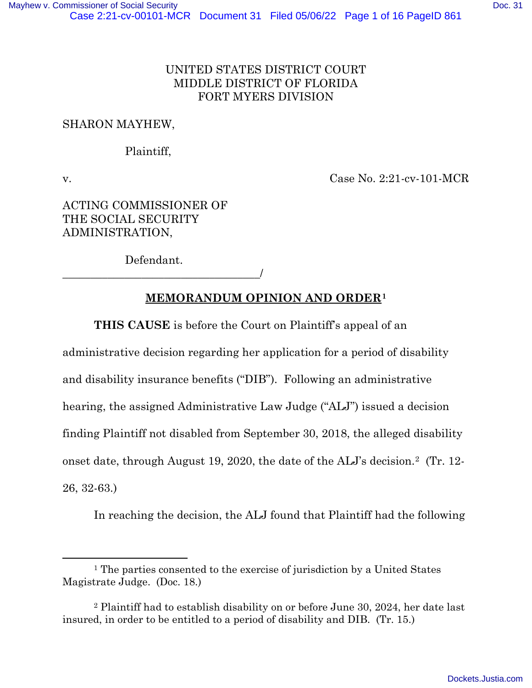## UNITED STATES DISTRICT COURT MIDDLE DISTRICT OF FLORIDA FORT MYERS DIVISION

### SHARON MAYHEW,

### Plaintiff,

v. Case No. 2:21-cv-101-MCR

ACTING COMMISSIONER OF THE SOCIAL SECURITY ADMINISTRATION,

Defendant.

\_\_\_\_\_\_\_\_\_\_\_\_\_\_\_\_\_\_\_\_\_\_\_\_\_\_\_\_\_\_\_\_\_\_\_/

## **MEMORANDUM OPINION AND ORDER[1](#page-0-0)**

**THIS CAUSE** is before the Court on Plaintiff's appeal of an

administrative decision regarding her application for a period of disability

and disability insurance benefits ("DIB"). Following an administrative

hearing, the assigned Administrative Law Judge ("ALJ") issued a decision

finding Plaintiff not disabled from September 30, 2018, the alleged disability

onset date, through August 19, 2020, the date of the ALJ's decision.[2](#page-0-1) (Tr. 12-

26, 32-63.)

In reaching the decision, the ALJ found that Plaintiff had the following

<span id="page-0-0"></span><sup>1</sup> The parties consented to the exercise of jurisdiction by a United States Magistrate Judge. (Doc. 18.)

<span id="page-0-1"></span><sup>2</sup> Plaintiff had to establish disability on or before June 30, 2024, her date last insured, in order to be entitled to a period of disability and DIB. (Tr. 15.)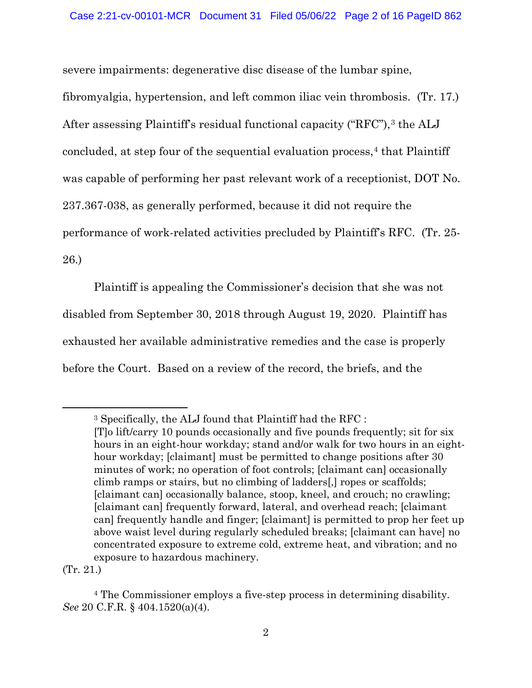severe impairments: degenerative disc disease of the lumbar spine,

fibromyalgia, hypertension, and left common iliac vein thrombosis. (Tr. 17.) After assessing Plaintiff's residual functional capacity ("RFC"),<sup>[3](#page-1-0)</sup> the ALJ concluded, at step four of the sequential evaluation process,<sup>[4](#page-1-1)</sup> that Plaintiff was capable of performing her past relevant work of a receptionist, DOT No. 237.367-038, as generally performed, because it did not require the performance of work-related activities precluded by Plaintiff's RFC. (Tr. 25- 26.)

Plaintiff is appealing the Commissioner's decision that she was not disabled from September 30, 2018 through August 19, 2020. Plaintiff has exhausted her available administrative remedies and the case is properly before the Court. Based on a review of the record, the briefs, and the

(Tr. 21.)

<span id="page-1-0"></span><sup>3</sup> Specifically, the ALJ found that Plaintiff had the RFC : [T]o lift/carry 10 pounds occasionally and five pounds frequently; sit for six hours in an eight-hour workday; stand and/or walk for two hours in an eighthour workday; [claimant] must be permitted to change positions after 30 minutes of work; no operation of foot controls; [claimant can] occasionally climb ramps or stairs, but no climbing of ladders[,] ropes or scaffolds; [claimant can] occasionally balance, stoop, kneel, and crouch; no crawling; [claimant can] frequently forward, lateral, and overhead reach; [claimant can] frequently handle and finger; [claimant] is permitted to prop her feet up above waist level during regularly scheduled breaks; [claimant can have] no concentrated exposure to extreme cold, extreme heat, and vibration; and no exposure to hazardous machinery.

<span id="page-1-1"></span><sup>4</sup> The Commissioner employs a five-step process in determining disability. *See* 20 C.F.R. § 404.1520(a)(4).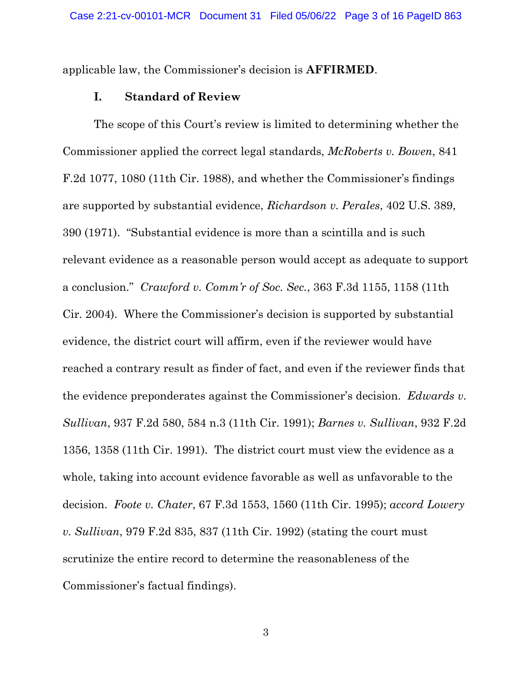applicable law, the Commissioner's decision is **AFFIRMED**.

#### **I. Standard of Review**

The scope of this Court's review is limited to determining whether the Commissioner applied the correct legal standards, *McRoberts v. Bowen*, 841 F.2d 1077, 1080 (11th Cir. 1988), and whether the Commissioner's findings are supported by substantial evidence, *Richardson v. Perales*, 402 U.S. 389, 390 (1971). "Substantial evidence is more than a scintilla and is such relevant evidence as a reasonable person would accept as adequate to support a conclusion." *Crawford v. Comm'r of Soc. Sec.*, 363 F.3d 1155, 1158 (11th Cir. 2004). Where the Commissioner's decision is supported by substantial evidence, the district court will affirm, even if the reviewer would have reached a contrary result as finder of fact, and even if the reviewer finds that the evidence preponderates against the Commissioner's decision. *Edwards v. Sullivan*, 937 F.2d 580, 584 n.3 (11th Cir. 1991); *Barnes v. Sullivan*, 932 F.2d 1356, 1358 (11th Cir. 1991). The district court must view the evidence as a whole, taking into account evidence favorable as well as unfavorable to the decision. *Foote v. Chater*, 67 F.3d 1553, 1560 (11th Cir. 1995); *accord Lowery v. Sullivan*, 979 F.2d 835, 837 (11th Cir. 1992) (stating the court must scrutinize the entire record to determine the reasonableness of the Commissioner's factual findings).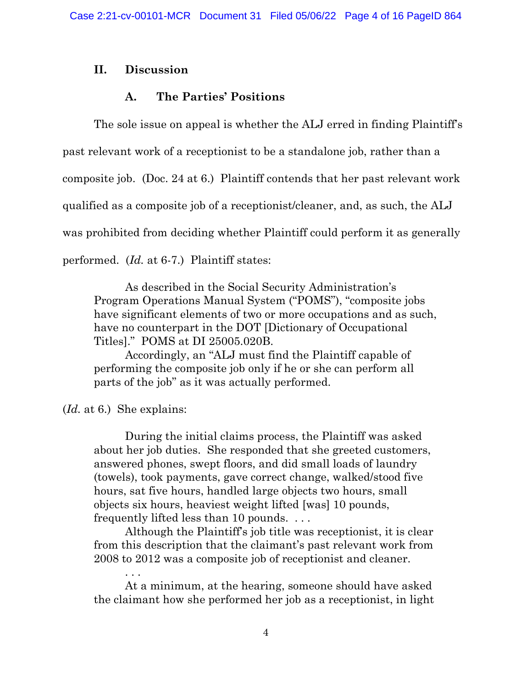#### **II. Discussion**

#### **A. The Parties' Positions**

The sole issue on appeal is whether the ALJ erred in finding Plaintiff's past relevant work of a receptionist to be a standalone job, rather than a composite job. (Doc. 24 at 6.) Plaintiff contends that her past relevant work qualified as a composite job of a receptionist/cleaner, and, as such, the ALJ was prohibited from deciding whether Plaintiff could perform it as generally performed. (*Id.* at 6-7.) Plaintiff states:

As described in the Social Security Administration's Program Operations Manual System ("POMS"), "composite jobs have significant elements of two or more occupations and as such, have no counterpart in the DOT [Dictionary of Occupational Titles]." POMS at DI 25005.020B.

Accordingly, an "ALJ must find the Plaintiff capable of performing the composite job only if he or she can perform all parts of the job" as it was actually performed.

(*Id.* at 6.) She explains:

. . .

During the initial claims process, the Plaintiff was asked about her job duties. She responded that she greeted customers, answered phones, swept floors, and did small loads of laundry (towels), took payments, gave correct change, walked/stood five hours, sat five hours, handled large objects two hours, small objects six hours, heaviest weight lifted [was] 10 pounds, frequently lifted less than 10 pounds. . . .

Although the Plaintiff's job title was receptionist, it is clear from this description that the claimant's past relevant work from 2008 to 2012 was a composite job of receptionist and cleaner.

At a minimum, at the hearing, someone should have asked the claimant how she performed her job as a receptionist, in light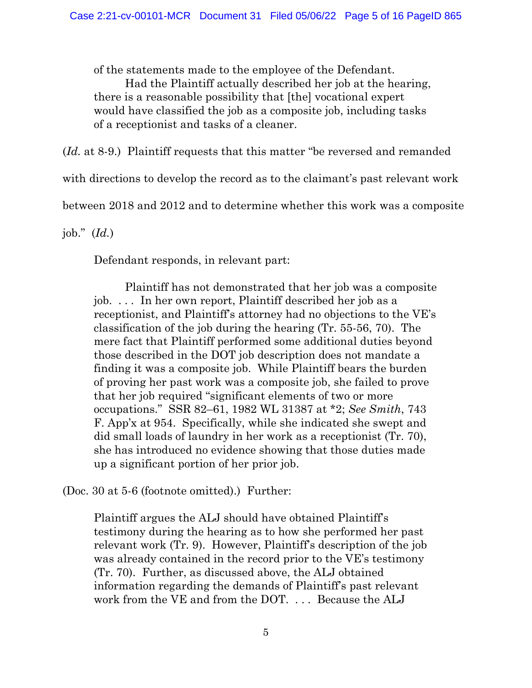of the statements made to the employee of the Defendant.

Had the Plaintiff actually described her job at the hearing, there is a reasonable possibility that [the] vocational expert would have classified the job as a composite job, including tasks of a receptionist and tasks of a cleaner.

(*Id.* at 8-9.) Plaintiff requests that this matter "be reversed and remanded

with directions to develop the record as to the claimant's past relevant work

between 2018 and 2012 and to determine whether this work was a composite

job." (*Id.*)

Defendant responds, in relevant part:

Plaintiff has not demonstrated that her job was a composite job. . . . In her own report, Plaintiff described her job as a receptionist, and Plaintiff's attorney had no objections to the VE's classification of the job during the hearing (Tr. 55-56, 70). The mere fact that Plaintiff performed some additional duties beyond those described in the DOT job description does not mandate a finding it was a composite job. While Plaintiff bears the burden of proving her past work was a composite job, she failed to prove that her job required "significant elements of two or more occupations." SSR 82–61, 1982 WL 31387 at \*2; *See Smith*, 743 F. App'x at 954. Specifically, while she indicated she swept and did small loads of laundry in her work as a receptionist (Tr. 70), she has introduced no evidence showing that those duties made up a significant portion of her prior job.

(Doc. 30 at 5-6 (footnote omitted).) Further:

Plaintiff argues the ALJ should have obtained Plaintiff's testimony during the hearing as to how she performed her past relevant work (Tr. 9). However, Plaintiff's description of the job was already contained in the record prior to the VE's testimony (Tr. 70). Further, as discussed above, the ALJ obtained information regarding the demands of Plaintiff's past relevant work from the VE and from the DOT. . . . Because the ALJ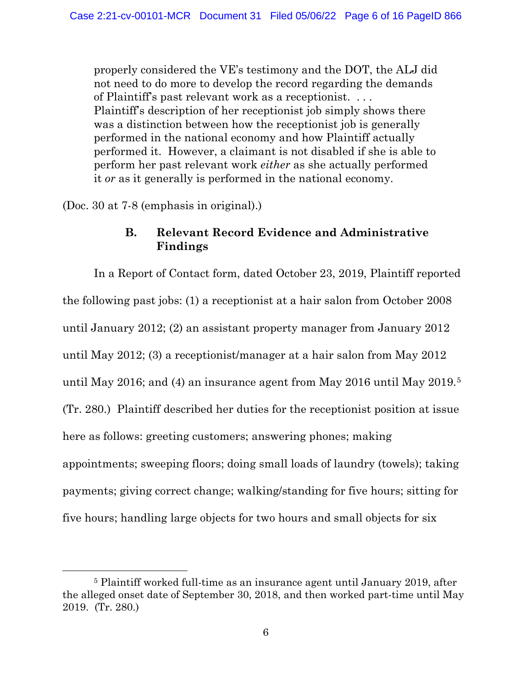properly considered the VE's testimony and the DOT, the ALJ did not need to do more to develop the record regarding the demands of Plaintiff's past relevant work as a receptionist. . . . Plaintiff's description of her receptionist job simply shows there was a distinction between how the receptionist job is generally performed in the national economy and how Plaintiff actually performed it. However, a claimant is not disabled if she is able to perform her past relevant work *either* as she actually performed it *or* as it generally is performed in the national economy.

(Doc. 30 at 7-8 (emphasis in original).)

## **B. Relevant Record Evidence and Administrative Findings**

In a Report of Contact form, dated October 23, 2019, Plaintiff reported the following past jobs: (1) a receptionist at a hair salon from October 2008 until January 2012; (2) an assistant property manager from January 2012 until May 2012; (3) a receptionist/manager at a hair salon from May 2012 until May 2016; and (4) an insurance agent from May 2016 until May 2019.[5](#page-5-0) (Tr. 280.) Plaintiff described her duties for the receptionist position at issue here as follows: greeting customers; answering phones; making appointments; sweeping floors; doing small loads of laundry (towels); taking payments; giving correct change; walking/standing for five hours; sitting for five hours; handling large objects for two hours and small objects for six

<span id="page-5-0"></span><sup>5</sup> Plaintiff worked full-time as an insurance agent until January 2019, after the alleged onset date of September 30, 2018, and then worked part-time until May 2019. (Tr. 280.)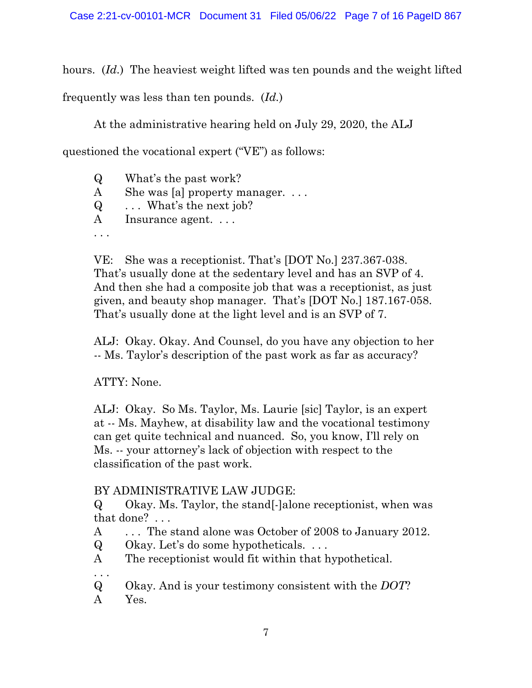hours. (*Id.*) The heaviest weight lifted was ten pounds and the weight lifted

frequently was less than ten pounds. (*Id.*)

At the administrative hearing held on July 29, 2020, the ALJ

questioned the vocational expert ("VE") as follows:

Q What's the past work? A She was [a] property manager. ... Q . . . What's the next job? A Insurance agent... . . .

VE: She was a receptionist. That's [DOT No.] 237.367-038. That's usually done at the sedentary level and has an SVP of 4. And then she had a composite job that was a receptionist, as just given, and beauty shop manager. That's [DOT No.] 187.167-058. That's usually done at the light level and is an SVP of 7.

ALJ: Okay. Okay. And Counsel, do you have any objection to her -- Ms. Taylor's description of the past work as far as accuracy?

# ATTY: None.

ALJ: Okay. So Ms. Taylor, Ms. Laurie [sic] Taylor, is an expert at -- Ms. Mayhew, at disability law and the vocational testimony can get quite technical and nuanced. So, you know, I'll rely on Ms. -- your attorney's lack of objection with respect to the classification of the past work.

# BY ADMINISTRATIVE LAW JUDGE:

Q Okay. Ms. Taylor, the stand[-]alone receptionist, when was that done? . . .

A ... The stand alone was October of 2008 to January 2012.

Q Okay. Let's do some hypotheticals. . . .

A The receptionist would fit within that hypothetical.

. . .

Q Okay. And is your testimony consistent with the *DOT*?

A Yes.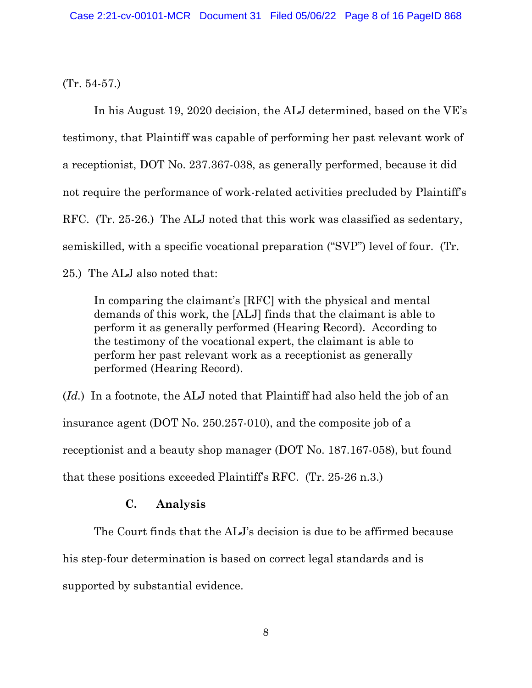(Tr. 54-57.)

In his August 19, 2020 decision, the ALJ determined, based on the VE's testimony, that Plaintiff was capable of performing her past relevant work of a receptionist, DOT No. 237.367-038, as generally performed, because it did not require the performance of work-related activities precluded by Plaintiff's RFC. (Tr. 25-26.) The ALJ noted that this work was classified as sedentary, semiskilled, with a specific vocational preparation ("SVP") level of four. (Tr. 25.) The ALJ also noted that:

In comparing the claimant's [RFC] with the physical and mental demands of this work, the [ALJ] finds that the claimant is able to perform it as generally performed (Hearing Record). According to the testimony of the vocational expert, the claimant is able to perform her past relevant work as a receptionist as generally performed (Hearing Record).

(*Id.*) In a footnote, the ALJ noted that Plaintiff had also held the job of an insurance agent (DOT No. 250.257-010), and the composite job of a receptionist and a beauty shop manager (DOT No. 187.167-058), but found that these positions exceeded Plaintiff's RFC. (Tr. 25-26 n.3.)

## **C. Analysis**

The Court finds that the ALJ's decision is due to be affirmed because his step-four determination is based on correct legal standards and is supported by substantial evidence.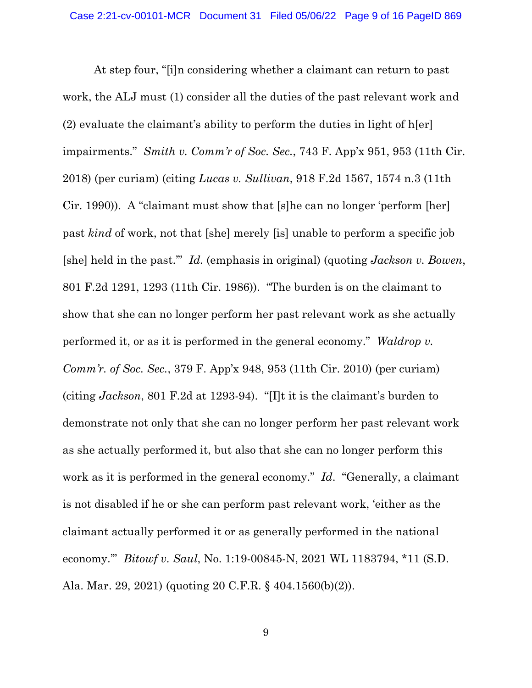At step four, "[i]n considering whether a claimant can return to past work, the ALJ must (1) consider all the duties of the past relevant work and (2) evaluate the claimant's ability to perform the duties in light of h[er] impairments." *Smith v. Comm'r of Soc. Sec.*, 743 F. App'x 951, 953 (11th Cir. 2018) (per curiam) (citing *Lucas v. Sullivan*, 918 F.2d 1567, 1574 n.3 (11th Cir. 1990)). A "claimant must show that [s]he can no longer 'perform [her] past *kind* of work, not that [she] merely [is] unable to perform a specific job [she] held in the past.'" *Id.* (emphasis in original) (quoting *Jackson v. Bowen*, 801 F.2d 1291, 1293 (11th Cir. 1986)). "The burden is on the claimant to show that she can no longer perform her past relevant work as she actually performed it, or as it is performed in the general economy." *Waldrop v. Comm'r. of Soc. Sec.*, 379 F. App'x 948, 953 (11th Cir. 2010) (per curiam) (citing *Jackson*, 801 F.2d at 1293-94). "[I]t it is the claimant's burden to demonstrate not only that she can no longer perform her past relevant work as she actually performed it, but also that she can no longer perform this work as it is performed in the general economy." *Id*. "Generally, a claimant is not disabled if he or she can perform past relevant work, 'either as the claimant actually performed it or as generally performed in the national economy.'" *Bitowf v. Saul*, No. 1:19-00845-N, 2021 WL 1183794, \*11 (S.D. Ala. Mar. 29, 2021) (quoting 20 C.F.R. § 404.1560(b)(2)).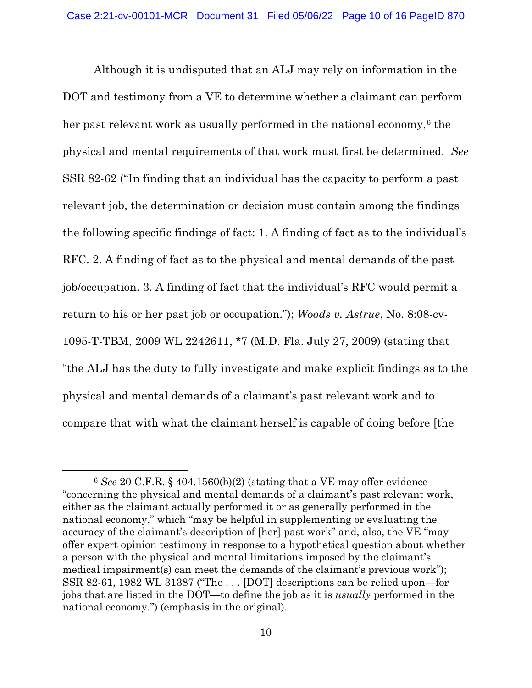Although it is undisputed that an ALJ may rely on information in the DOT and testimony from a VE to determine whether a claimant can perform her past relevant work as usually performed in the national economy, $6$  the physical and mental requirements of that work must first be determined. *See* SSR 82-62 ("In finding that an individual has the capacity to perform a past relevant job, the determination or decision must contain among the findings the following specific findings of fact: 1. A finding of fact as to the individual's RFC. 2. A finding of fact as to the physical and mental demands of the past job/occupation. 3. A finding of fact that the individual's RFC would permit a return to his or her past job or occupation."); *Woods v. Astrue*, No. 8:08-cv-1095-T-TBM, 2009 WL 2242611, \*7 (M.D. Fla. July 27, 2009) (stating that "the ALJ has the duty to fully investigate and make explicit findings as to the physical and mental demands of a claimant's past relevant work and to compare that with what the claimant herself is capable of doing before [the

<span id="page-9-0"></span><sup>6</sup> *See* 20 C.F.R. § 404.1560(b)(2) (stating that a VE may offer evidence "concerning the physical and mental demands of a claimant's past relevant work, either as the claimant actually performed it or as generally performed in the national economy," which "may be helpful in supplementing or evaluating the accuracy of the claimant's description of [her] past work" and, also, the VE "may offer expert opinion testimony in response to a hypothetical question about whether a person with the physical and mental limitations imposed by the claimant's medical impairment(s) can meet the demands of the claimant's previous work"); SSR 82-61, 1982 WL 31387 ("The . . . [DOT] descriptions can be relied upon—for jobs that are listed in the DOT—to define the job as it is *usually* performed in the national economy.") (emphasis in the original).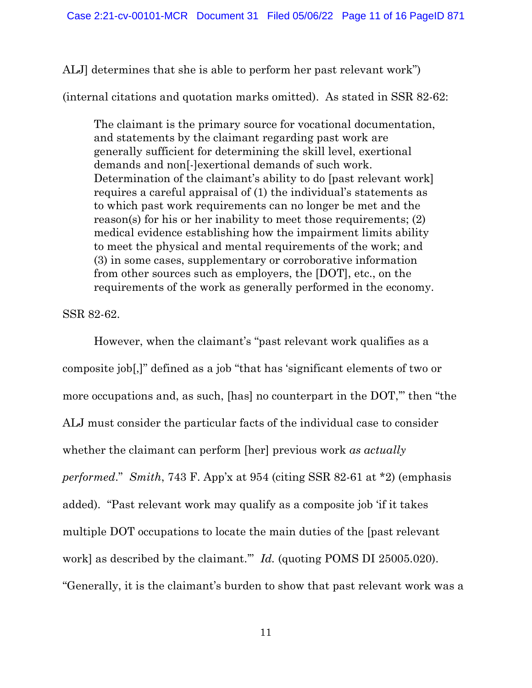ALJ] determines that she is able to perform her past relevant work")

(internal citations and quotation marks omitted). As stated in SSR 82-62:

The claimant is the primary source for vocational documentation, and statements by the claimant regarding past work are generally sufficient for determining the skill level, exertional demands and non[-]exertional demands of such work. Determination of the claimant's ability to do [past relevant work] requires a careful appraisal of (1) the individual's statements as to which past work requirements can no longer be met and the reason(s) for his or her inability to meet those requirements; (2) medical evidence establishing how the impairment limits ability to meet the physical and mental requirements of the work; and (3) in some cases, supplementary or corroborative information from other sources such as employers, the [DOT], etc., on the requirements of the work as generally performed in the economy.

SSR 82-62.

However, when the claimant's "past relevant work qualifies as a composite job[,]" defined as a job "that has 'significant elements of two or more occupations and, as such, [has] no counterpart in the DOT," then "the ALJ must consider the particular facts of the individual case to consider whether the claimant can perform [her] previous work *as actually performed*." *Smith*, 743 F. App'x at 954 (citing SSR 82-61 at \*2) (emphasis added). "Past relevant work may qualify as a composite job 'if it takes multiple DOT occupations to locate the main duties of the [past relevant work] as described by the claimant.'" *Id.* (quoting POMS DI 25005.020). "Generally, it is the claimant's burden to show that past relevant work was a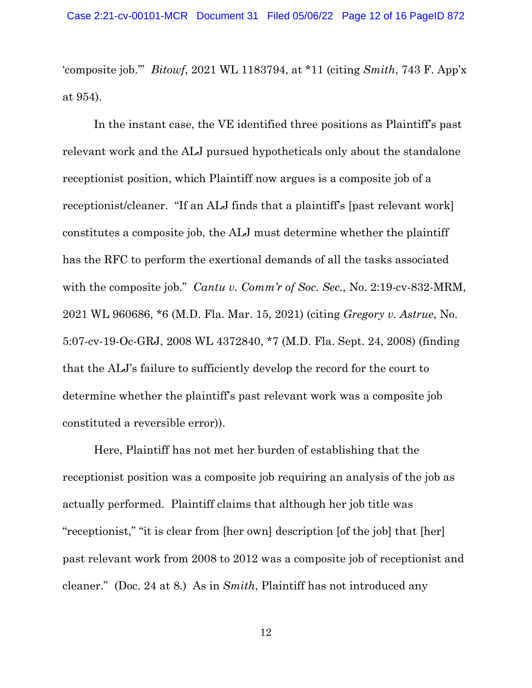'composite job.'" *Bitowf*, 2021 WL 1183794, at \*11 (citing *Smith*, 743 F. App'x at 954).

 In the instant case, the VE identified three positions as Plaintiff's past relevant work and the ALJ pursued hypotheticals only about the standalone receptionist position, which Plaintiff now argues is a composite job of a receptionist/cleaner. "If an ALJ finds that a plaintiff's [past relevant work] constitutes a composite job, the ALJ must determine whether the plaintiff has the RFC to perform the exertional demands of all the tasks associated with the composite job." *Cantu v. Comm'r of Soc. Sec.*, No. 2:19-cv-832-MRM, 2021 WL 960686, \*6 (M.D. Fla. Mar. 15, 2021) (citing *Gregory v. Astrue*, No. 5:07-cv-19-Oc-GRJ, 2008 WL 4372840, \*7 (M.D. Fla. Sept. 24, 2008) (finding that the ALJ's failure to sufficiently develop the record for the court to determine whether the plaintiff's past relevant work was a composite job constituted a reversible error)).

 Here, Plaintiff has not met her burden of establishing that the receptionist position was a composite job requiring an analysis of the job as actually performed. Plaintiff claims that although her job title was "receptionist," "it is clear from [her own] description [of the job] that [her] past relevant work from 2008 to 2012 was a composite job of receptionist and cleaner." (Doc. 24 at 8.) As in *Smith*, Plaintiff has not introduced any

12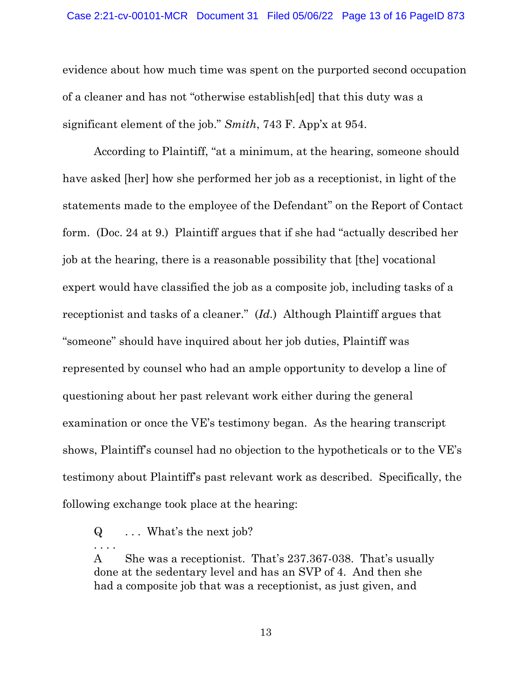evidence about how much time was spent on the purported second occupation of a cleaner and has not "otherwise establish[ed] that this duty was a significant element of the job." *Smith*, 743 F. App'x at 954.

According to Plaintiff, "at a minimum, at the hearing, someone should have asked [her] how she performed her job as a receptionist, in light of the statements made to the employee of the Defendant" on the Report of Contact form. (Doc. 24 at 9.) Plaintiff argues that if she had "actually described her job at the hearing, there is a reasonable possibility that [the] vocational expert would have classified the job as a composite job, including tasks of a receptionist and tasks of a cleaner." (*Id.*) Although Plaintiff argues that "someone" should have inquired about her job duties, Plaintiff was represented by counsel who had an ample opportunity to develop a line of questioning about her past relevant work either during the general examination or once the VE's testimony began. As the hearing transcript shows, Plaintiff's counsel had no objection to the hypotheticals or to the VE's testimony about Plaintiff's past relevant work as described. Specifically, the following exchange took place at the hearing:

. . . .

A She was a receptionist. That's 237.367-038. That's usually done at the sedentary level and has an SVP of 4. And then she had a composite job that was a receptionist, as just given, and

 $Q \dots$  What's the next job?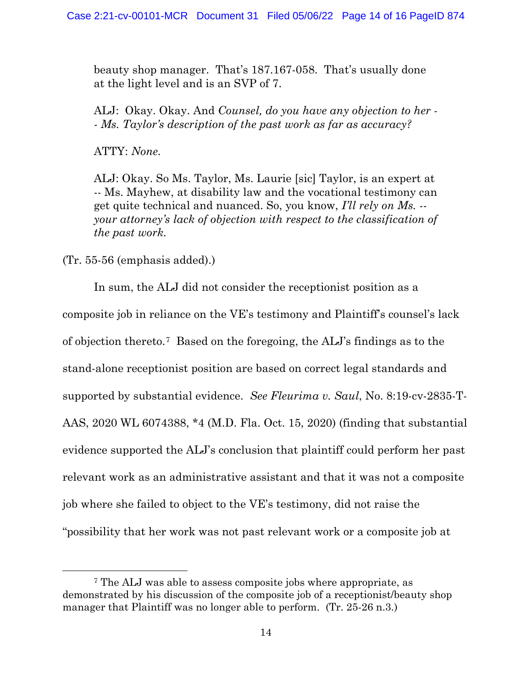beauty shop manager. That's 187.167-058. That's usually done at the light level and is an SVP of 7.

ALJ: Okay. Okay. And *Counsel, do you have any objection to her - - Ms. Taylor's description of the past work as far as accuracy?* 

ATTY: *None.* 

ALJ: Okay. So Ms. Taylor, Ms. Laurie [sic] Taylor, is an expert at -- Ms. Mayhew, at disability law and the vocational testimony can get quite technical and nuanced. So, you know, *I'll rely on Ms. - your attorney's lack of objection with respect to the classification of the past work.* 

(Tr. 55-56 (emphasis added).)

In sum, the ALJ did not consider the receptionist position as a composite job in reliance on the VE's testimony and Plaintiff's counsel's lack of objection thereto.[7](#page-13-0) Based on the foregoing, the ALJ's findings as to the stand-alone receptionist position are based on correct legal standards and supported by substantial evidence. *See Fleurima v. Saul*, No. 8:19-cv-2835-T-AAS, 2020 WL 6074388, \*4 (M.D. Fla. Oct. 15, 2020) (finding that substantial evidence supported the ALJ's conclusion that plaintiff could perform her past relevant work as an administrative assistant and that it was not a composite job where she failed to object to the VE's testimony, did not raise the "possibility that her work was not past relevant work or a composite job at

<span id="page-13-0"></span><sup>7</sup> The ALJ was able to assess composite jobs where appropriate, as demonstrated by his discussion of the composite job of a receptionist/beauty shop manager that Plaintiff was no longer able to perform. (Tr. 25-26 n.3.)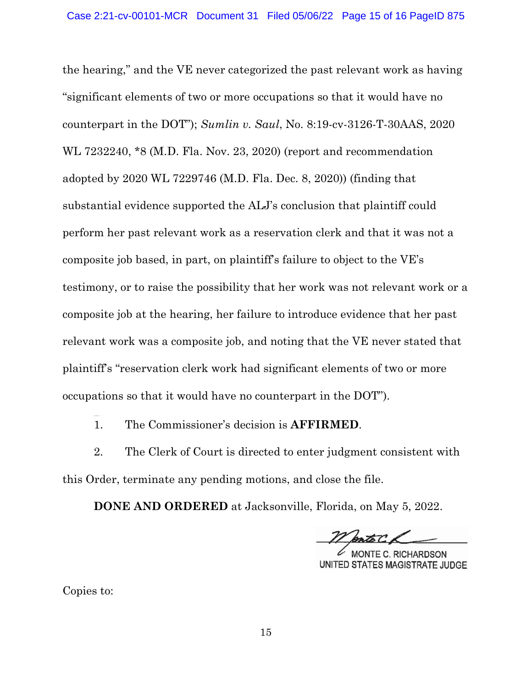the hearing," and the VE never categorized the past relevant work as having "significant elements of two or more occupations so that it would have no counterpart in the DOT"); *Sumlin v. Saul*, No. 8:19-cv-3126-T-30AAS, 2020 WL 7232240, \*8 (M.D. Fla. Nov. 23, 2020) (report and recommendation adopted by 2020 WL 7229746 (M.D. Fla. Dec. 8, 2020)) (finding that substantial evidence supported the ALJ's conclusion that plaintiff could perform her past relevant work as a reservation clerk and that it was not a composite job based, in part, on plaintiff's failure to object to the VE's testimony, or to raise the possibility that her work was not relevant work or a composite job at the hearing, her failure to introduce evidence that her past relevant work was a composite job, and noting that the VE never stated that plaintiff's "reservation clerk work had significant elements of two or more occupations so that it would have no counterpart in the DOT").

1. The Commissioner's decision is **AFFIRMED**.

2. The Clerk of Court is directed to enter judgment consistent with this Order, terminate any pending motions, and close the file.

**DONE AND ORDERED** at Jacksonville, Florida, on May 5, 2022.

E C. RICHARDSON UNITED STATES MAGISTRATE JUDGE

Copies to:

ccordingl y, it is :